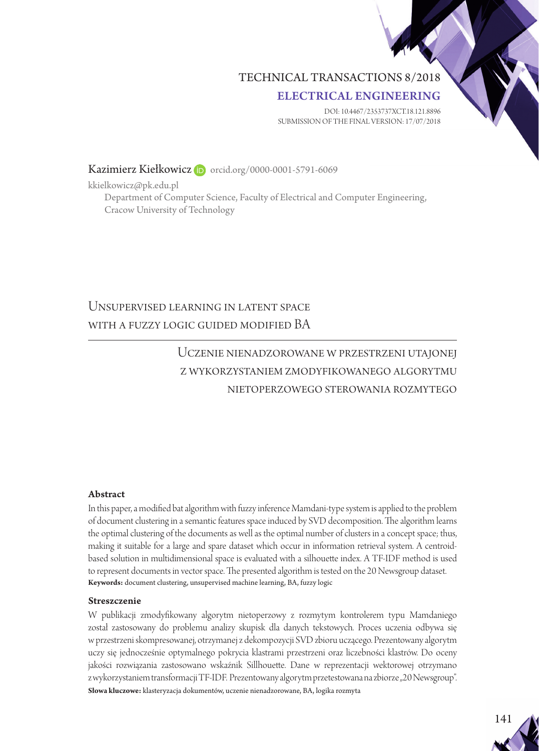## TECHNICAL TRANSACTIONS 8/2018 Electrical Engineering

DOI: 10.4467/2353737XCT.18.121.8896 submission of the final version: 17/07/2018

### Kazimierz Kiełkowicz D[orcid.org/0000-0001-5791-6069](http://orcid.org/0000-0001-5791-6069)

kkielkowicz@pk.edu.pl

Department of Computer Science, Faculty of Electrical and Computer Engineering, Cracow University of Technology

# Unsupervised learning in latent space with a fuzzy logic guided modified ba

# Uczenie nienadzorowane w przestrzeni utajonej z wykorzystaniem zmodyfikowanego algorytmu nietoperzowego sterowania rozmytego

#### Abstract

In this paper, a modified bat algorithm with fuzzy inference Mamdani-type system is applied to the problem of document clustering in a semantic features space induced by SVD decomposition. The algorithm learns the optimal clustering of the documents as well as the optimal number of clusters in a concept space; thus, making it suitable for a large and spare dataset which occur in information retrieval system. A centroidbased solution in multidimensional space is evaluated with a silhouette index. A TF-IDF method is used to represent documents in vector space. The presented algorithm is tested on the 20 Newsgroup dataset. **Keywords:** document clustering, unsupervised machine learning, BA, fuzzy logic

#### Streszczenie

W publikacji zmodyfikowany algorytm nietoperzowy z rozmytym kontrolerem typu Mamdaniego został zastosowany do problemu analizy skupisk dla danych tekstowych. Proces uczenia odbywa się w przestrzeni skompresowanej, otrzymanej z dekompozycji SVD zbioru uczącego. Prezentowany algorytm uczy się jednocześnie optymalnego pokrycia klastrami przestrzeni oraz liczebności klastrów. Do oceny jakości rozwiązania zastosowano wskaźnik Sillhouette. Dane w reprezentacji wektorowej otrzymano z wykorzystaniem transformacji TF-IDF. Prezentowany algorytm przetestowana na zbiorze "20 Newsgroup". **Słowa kluczowe:** klasteryzacja dokumentów, uczenie nienadzorowane, BA, logika rozmyta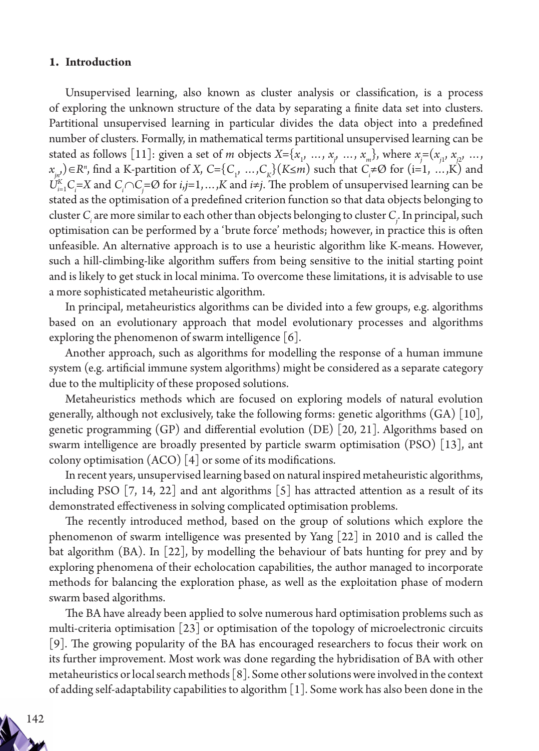### **1. Introduction**

Unsupervised learning, also known as cluster analysis or classification, is a process of exploring the unknown structure of the data by separating a finite data set into clusters. Partitional unsupervised learning in particular divides the data object into a predefined number of clusters. Formally, in mathematical terms partitional unsupervised learning can be stated as follows [11]: given a set of *m* objects  $X = \{x_1, ..., x_j, ..., x_m\}$ , where  $x_j = (x_{j1}, x_{j2}, ..., x_m)\}$ *x<sub>jn</sub>*</sub>)∈*R*<sup>n</sup>, find a K-partition of *X*, *C*={*C*<sub>1</sub>, …,*C*<sub>*K*</sub>}(*K*≤*m*) such that *C*<sub>*i*</sub>≠Ø for (i=1, …,K) and *U*<sup>K</sup><sub>*i*</sub>=*C*<sub>*i*</sub> −*C*<sub>*i*</sub> −*C*<sub>*j*</sub> −*O*<sub>*i*</sub> for *i*,*j*=1,…,*K* and *i≠j*. The problem of unsupervised learning can be stated as the optimisation of a predefined criterion function so that data objects belonging to cluster  $C_i$  are more similar to each other than objects belonging to cluster  $C_j$ . In principal, such optimisation can be performed by a 'brute force' methods; however, in practice this is often unfeasible. An alternative approach is to use a heuristic algorithm like K-means. However, such a hill-climbing-like algorithm suffers from being sensitive to the initial starting point and is likely to get stuck in local minima. To overcome these limitations, it is advisable to use a more sophisticated metaheuristic algorithm.

In principal, metaheuristics algorithms can be divided into a few groups, e.g. algorithms based on an evolutionary approach that model evolutionary processes and algorithms exploring the phenomenon of swarm intelligence [6].

Another approach, such as algorithms for modelling the response of a human immune system (e.g. artificial immune system algorithms) might be considered as a separate category due to the multiplicity of these proposed solutions.

Metaheuristics methods which are focused on exploring models of natural evolution generally, although not exclusively, take the following forms: genetic algorithms (GA) [10], genetic programming (GP) and differential evolution (DE) [20, 21]. Algorithms based on swarm intelligence are broadly presented by particle swarm optimisation (PSO) [13], ant colony optimisation (ACO) [4] or some of its modifications.

In recent years, unsupervised learning based on natural inspired metaheuristic algorithms, including PSO  $\vert 7, 14, 22 \vert$  and ant algorithms  $\vert 5 \vert$  has attracted attention as a result of its demonstrated effectiveness in solving complicated optimisation problems.

The recently introduced method, based on the group of solutions which explore the phenomenon of swarm intelligence was presented by Yang [22] in 2010 and is called the bat algorithm (BA). In [22], by modelling the behaviour of bats hunting for prey and by exploring phenomena of their echolocation capabilities, the author managed to incorporate methods for balancing the exploration phase, as well as the exploitation phase of modern swarm based algorithms.

The BA have already been applied to solve numerous hard optimisation problems such as multi-criteria optimisation [23] or optimisation of the topology of microelectronic circuits [9]. The growing popularity of the BA has encouraged researchers to focus their work on its further improvement. Most work was done regarding the hybridisation of BA with other metaheuristics or local search methods [8]. Some other solutions were involved in the context of adding self-adaptability capabilities to algorithm [1]. Some work has also been done in the

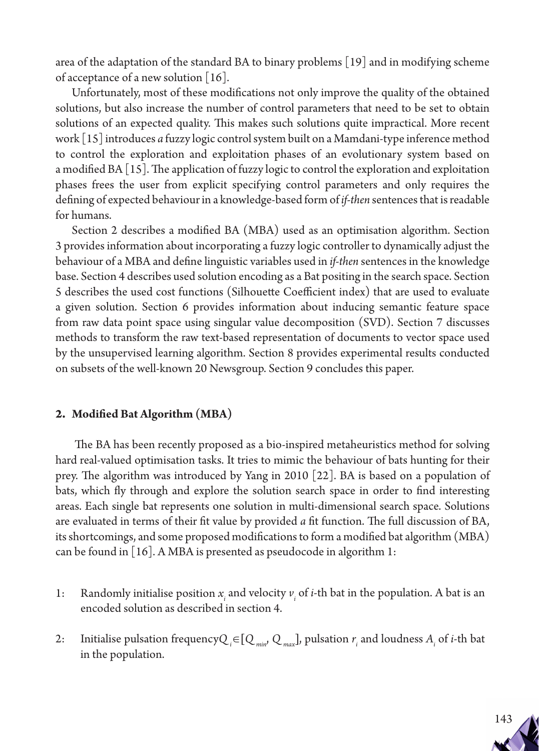area of the adaptation of the standard BA to binary problems [19] and in modifying scheme of acceptance of a new solution  $[16]$ .

Unfortunately, most of these modifications not only improve the quality of the obtained solutions, but also increase the number of control parameters that need to be set to obtain solutions of an expected quality. This makes such solutions quite impractical. More recent work [15] introduces *a* fuzzy logic control system built on a Mamdani-type inference method to control the exploration and exploitation phases of an evolutionary system based on a modified BA [15]. The application of fuzzy logic to control the exploration and exploitation phases frees the user from explicit specifying control parameters and only requires the defining of expected behaviour in a knowledge-based form of *if-then* sentences that is readable for humans.

Section 2 describes a modified BA (MBA) used as an optimisation algorithm. Section 3 provides information about incorporating a fuzzy logic controller to dynamically adjust the behaviour of a MBA and define linguistic variables used in *if-then* sentences in the knowledge base. Section 4 describes used solution encoding as a Bat positing in the search space. Section 5 describes the used cost functions (Silhouette Coefficient index) that are used to evaluate a given solution. Section 6 provides information about inducing semantic feature space from raw data point space using singular value decomposition (SVD). Section 7 discusses methods to transform the raw text-based representation of documents to vector space used by the unsupervised learning algorithm. Section 8 provides experimental results conducted on subsets of the well-known 20 Newsgroup. Section 9 concludes this paper.

## **2. Modified Bat Algorithm (MBA)**

 The BA has been recently proposed as a bio-inspired metaheuristics method for solving hard real-valued optimisation tasks. It tries to mimic the behaviour of bats hunting for their prey. The algorithm was introduced by Yang in 2010 [22]. BA is based on a population of bats, which fly through and explore the solution search space in order to find interesting areas. Each single bat represents one solution in multi-dimensional search space. Solutions are evaluated in terms of their fit value by provided *a* fit function. The full discussion of BA, its shortcomings, and some proposed modifications to form a modified bat algorithm (MBA) can be found in [16]. A MBA is presented as pseudocode in algorithm 1:

- 1: Randomly initialise position  $x_i$  and velocity  $v_i$  of *i*-th bat in the population. A bat is an encoded solution as described in section 4.
- 2: Initialise pulsation frequency $Q_i \in [Q_{min}, Q_{max}]$ , pulsation  $r_i$  and loudness  $A_i$  of *i*-th bat in the population.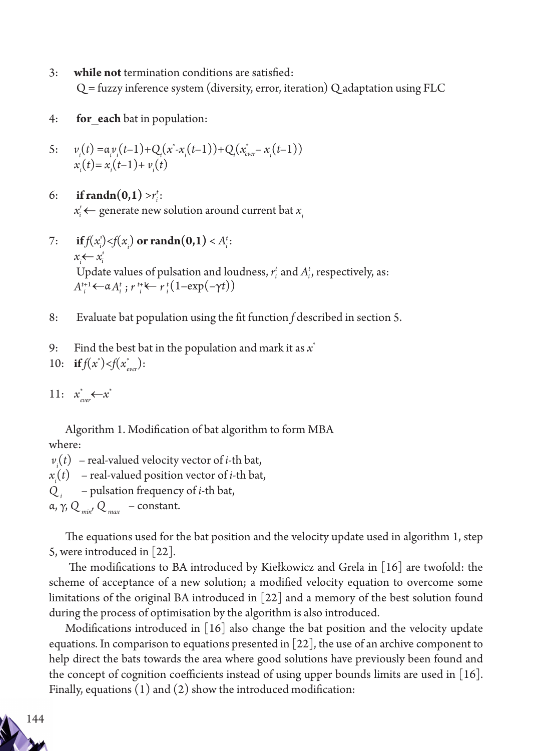- 3: **while not** termination conditions are satisfied: Q = fuzzy inference system (diversity, error, iteration) Q adaptation using FLC
- 4: **for each** bat in population:

5: 
$$
v_i(t) = a_i v_i(t-1) + Q_i(x^* - x_i(t-1)) + Q_i(x_{\text{ever}}^* - x_i(t-1))
$$
  
\n $x_i(t) = x_i(t-1) + v_i(t)$ 

- 6: **if**  $\text{randn}(0,1) > r_i^t$ : *x*' *<sup>i</sup>* ← generate new solution around current bat *xi*
- 7: **if**  $f(x_i^t) < f(x_i)$  or  $\text{randn}(0,1) < A_i^t$ :  $x_i \leftarrow x_i'$ Update values of pulsation and loudness,  $r_i^t$  and  $A_i^t$ , respectively, as: *A*<sup>*t*+1</sup></sub>←α*A<sup><i>t*</sup></sup>; *r*<sup>*t*+k−*r*<sub>*i*</sub></sub><sup>*t*</sup>(1–exp(–γ*t*))</sup>
- 8: Evaluate bat population using the fit function *f* described in section 5.
- 9: Find the best bat in the population and mark it as  $x^*$

10: if 
$$
f(x^*) < f(x^*_{\text{ever}})
$$
:

11:  $x^*_{\text{ever}} \leftarrow x^*$ 

Algorithm 1. Modification of bat algorithm to form MBA where:

- $v_i(t)$  real-valued velocity vector of *i*-th bat,
- $x_i(t)$  real-valued position vector of *i*-th bat,
- *Q <sup>i</sup>* pulsation frequency of *i*-th bat,

 $\alpha$ ,  $\gamma$ ,  $Q_{\text{mix}}$ ,  $Q_{\text{max}}$  – constant.

The equations used for the bat position and the velocity update used in algorithm 1, step 5, were introduced in [22].

 The modifications to BA introduced by Kiełkowicz and Grela in [16] are twofold: the scheme of acceptance of a new solution; a modified velocity equation to overcome some limitations of the original BA introduced in [22] and a memory of the best solution found during the process of optimisation by the algorithm is also introduced.

Modifications introduced in  $\begin{bmatrix} 16 \end{bmatrix}$  also change the bat position and the velocity update equations. In comparison to equations presented in  $[22]$ , the use of an archive component to help direct the bats towards the area where good solutions have previously been found and the concept of cognition coefficients instead of using upper bounds limits are used in [16]. Finally, equations  $(1)$  and  $(2)$  show the introduced modification:

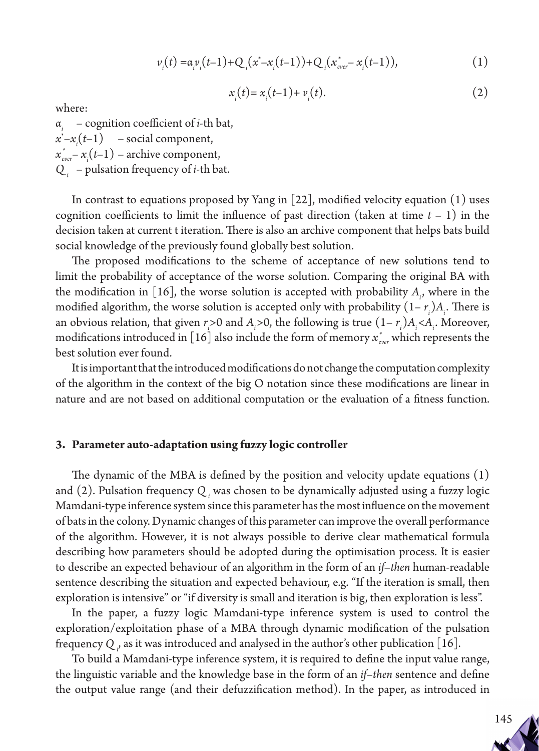$$
\nu_i(t) = \alpha_i \nu_i(t-1) + Q_i(x^* - x_i(t-1)) + Q_i(x^*_{\text{ever}} - x_i(t-1)),
$$
\n(1)

$$
x_i(t) = x_i(t-1) + v_i(t).
$$
 (2)

where:

α*i* – cognition coefficient of *i*-th bat,  $x^*$  – $x_i(t-1)$  – social component,  $x_{\textit{ever}}^*$  –  $x_i(t-1)$  – archive component, *Q <sup>i</sup>* – pulsation frequency of *i*-th bat.

In contrast to equations proposed by Yang in  $[22]$ , modified velocity equation  $(1)$  uses cognition coefficients to limit the influence of past direction (taken at time  $t - 1$ ) in the decision taken at current t iteration. There is also an archive component that helps bats build social knowledge of the previously found globally best solution.

The proposed modifications to the scheme of acceptance of new solutions tend to limit the probability of acceptance of the worse solution. Comparing the original BA with the modification in  $[16]$ , the worse solution is accepted with probability  $A_i$ , where in the modified algorithm, the worse solution is accepted only with probability  $(1 - r_i)A_i$ . There is an obvious relation, that given  $r_i > 0$  and  $A_i > 0$ , the following is true  $(1 - r_i)A_i < A_i$ . Moreover, modifications introduced in  $[16]$  also include the form of memory  $x_{\tiny{ever}}^*$  which represents the best solution ever found.

It is important that the introduced modifications do not change the computation complexity of the algorithm in the context of the big Ο notation since these modifications are linear in nature and are not based on additional computation or the evaluation of a fitness function.

### **3. Parameter auto-adaptation using fuzzy logic controller**

The dynamic of the MBA is defined by the position and velocity update equations (1) and (2). Pulsation frequency  $Q_i$  was chosen to be dynamically adjusted using a fuzzy logic Mamdani-type inference system since this parameter has the most influence on the movement of bats in the colony. Dynamic changes of this parameter can improve the overall performance of the algorithm. However, it is not always possible to derive clear mathematical formula describing how parameters should be adopted during the optimisation process. It is easier to describe an expected behaviour of an algorithm in the form of an *if–then* human-readable sentence describing the situation and expected behaviour, e.g. "If the iteration is small, then exploration is intensive" or "if diversity is small and iteration is big, then exploration is less".

In the paper, a fuzzy logic Mamdani-type inference system is used to control the exploration/exploitation phase of a MBA through dynamic modification of the pulsation frequency  $Q_{i'}$  as it was introduced and analysed in the author's other publication [16].

To build a Mamdani-type inference system, it is required to define the input value range, the linguistic variable and the knowledge base in the form of an *if–then* sentence and define the output value range (and their defuzzification method). In the paper, as introduced in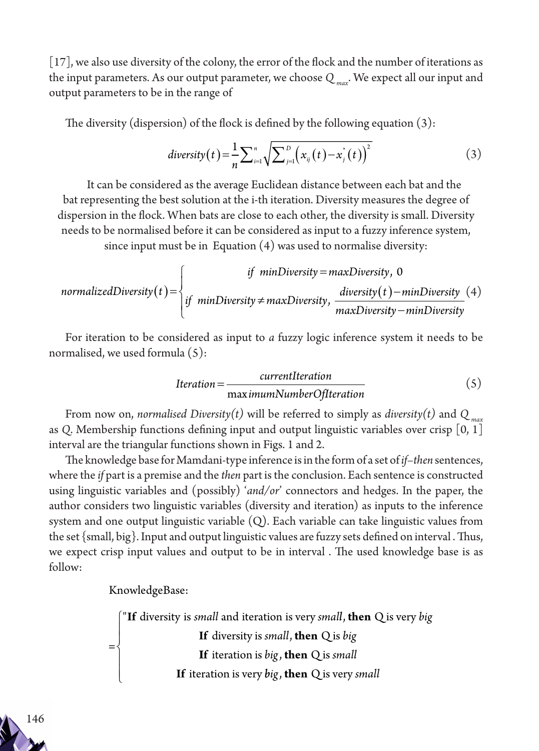[17], we also use diversity of the colony, the error of the flock and the number of iterations as the input parameters. As our output parameter, we choose  $Q_{max}$ . We expect all our input and output parameters to be in the range of

The diversity (dispersion) of the flock is defined by the following equation (3):

$$
diversity(t) = \frac{1}{n} \sum_{i=1}^{n} \sqrt{\sum_{j=1}^{D} (x_{ij}(t) - x_{j}^{*}(t))^{2}}
$$
(3)

It can be considered as the average Euclidean distance between each bat and the bat representing the best solution at the i-th iteration. Diversity measures the degree of dispersion in the flock. When bats are close to each other, the diversity is small. Diversity needs to be normalised before it can be considered as input to a fuzzy inference system, since input must be in Equation (4) was used to normalise diversity:

$$
normalizedDiversity(t) = \begin{cases} & \text{if } minDiversity = maxDiversity, 0 \\ & \text{if } minDiversity \neq maxDiversity, \frac{diversity(t) - minDiversity(4)}{maxDiversity - minDiversity} \end{cases}
$$

For iteration to be considered as input to *a* fuzzy logic inference system it needs to be normalised, we used formula (5):

$$
Iteration = \frac{currentIteration}{maximumNumberOfficial}
$$
 (5)

From now on, *normalised Diversity(t)* will be referred to simply as *diversity(t)* and  $Q_{max}$ as *Q*. Membership functions defining input and output linguistic variables over crisp [0, 1] interval are the triangular functions shown in Figs. 1 and 2.

The knowledge base for Mamdani-type inference is in the form of a set of *if–then* sentences, where the *if* part is a premise and the *then* part is the conclusion. Each sentence is constructed using linguistic variables and (possibly) '*and/or*' connectors and hedges. In the paper, the author considers two linguistic variables (diversity and iteration) as inputs to the inference system and one output linguistic variable (Q). Each variable can take linguistic values from the set {small, big}. Input and output linguistic values are fuzzy sets defined on interval . Thus, we expect crisp input values and output to be in interval . The used knowledge base is as follow:

KnowledgeBase:

= ["If diversity is *small* and iteration is very *small*, then Q is very big **If** diversity is small, **then** Q is big **If** iteration is big, **then** Q is *small* **If** iteration is very *big s* , **then** Q is very *mall* ⇃  $\overline{1}$  $\mathbf{I}$  $\overline{\mathfrak{c}}$  $\left| \right|$  $\mathbf{I}$ 

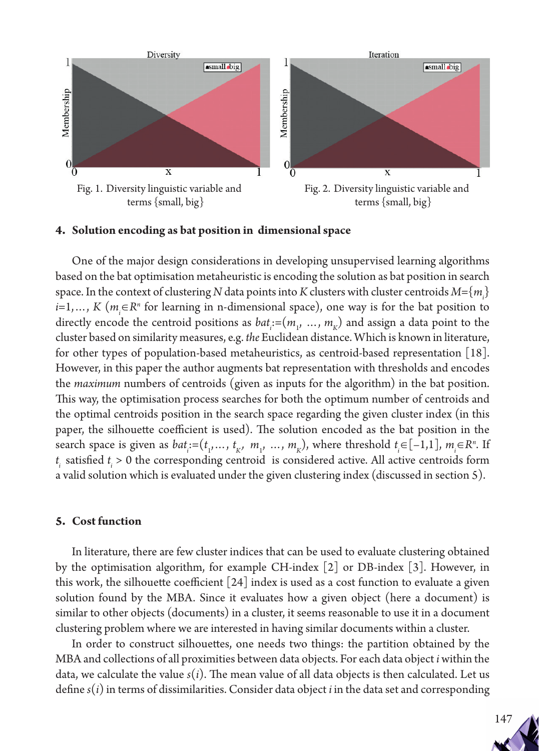

#### **4. Solution encoding as bat position in dimensional space**

One of the major design considerations in developing unsupervised learning algorithms based on the bat optimisation metaheuristic is encoding the solution as bat position in search space. In the context of clustering *N* data points into *K* clusters with cluster centroids  $M = \{m_i\}$ *i*=1,…, *K* (*m*<sub>*i*</sub>∈*R*<sup>*n*</sup> for learning in n-dimensional space), one way is for the bat position to directly encode the centroid positions as  $bat_i = (m_1, ..., m_K)$  and assign a data point to the cluster based on similarity measures, e.g. *the* Euclidean distance. Which is known in literature, for other types of population-based metaheuristics, as centroid-based representation [18]. However, in this paper the author augments bat representation with thresholds and encodes the *maximum* numbers of centroids (given as inputs for the algorithm) in the bat position. This way, the optimisation process searches for both the optimum number of centroids and the optimal centroids position in the search space regarding the given cluster index (in this paper, the silhouette coefficient is used). The solution encoded as the bat position in the search space is given as  $bat_i = (t_1, ..., t_{K'} m_1, ..., m_K)$ , where threshold  $t_i \in [-1,1]$ ,  $m_i \in \mathbb{R}^n$ . If  $t_i$  satisfied  $t_i > 0$  the corresponding centroid is considered active. All active centroids form a valid solution which is evaluated under the given clustering index (discussed in section 5).

## **5. Cost function**

In literature, there are few cluster indices that can be used to evaluate clustering obtained by the optimisation algorithm, for example CH-index [2] or DB-index [3]. However, in this work, the silhouette coefficient [24] index is used as a cost function to evaluate a given solution found by the MBA. Since it evaluates how a given object (here a document) is similar to other objects (documents) in a cluster, it seems reasonable to use it in a document clustering problem where we are interested in having similar documents within a cluster.

In order to construct silhouettes, one needs two things: the partition obtained by the MBA and collections of all proximities between data objects. For each data object *i* within the data, we calculate the value  $s(i)$ . The mean value of all data objects is then calculated. Let us define *s*(*i*) in terms of dissimilarities. Consider data object *i* in the data set and corresponding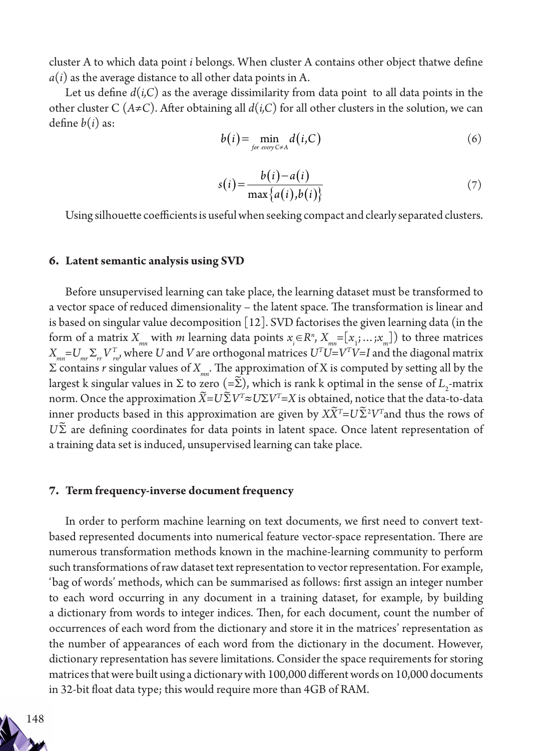cluster A to which data point *i* belongs. When cluster A contains other object thatwe define  $a(i)$  as the average distance to all other data points in A.

Let us define  $d(i, C)$  as the average dissimilarity from data point to all data points in the other cluster C ( $A \neq C$ ). After obtaining all  $d(i, C)$  for all other clusters in the solution, we can define *b*(*i*) as:

$$
b(i) = \min_{\text{for every } C \neq A} d(i, C) \tag{6}
$$

$$
s(i) = \frac{b(i) - a(i)}{\max\{a(i), b(i)\}}
$$
\n<sup>(7)</sup>

Using silhouette coefficients is useful when seeking compact and clearly separated clusters.

#### **6. Latent semantic analysis using SVD**

Before unsupervised learning can take place, the learning dataset must be transformed to a vector space of reduced dimensionality – the latent space. The transformation is linear and is based on singular value decomposition  $[12]$ . SVD factorises the given learning data (in the form of a matrix  $X_{mn}$  with  $m$  learning data points  $x_i \in R^n$ ,  $X_{mn} = [x_1; \dots; x_m]$  to three matrices  $X_{mn} = U_{mn} \sum_{rr} V_{rn}^T$ , where *U* and *V* are orthogonal matrices  $U^T U = V^T V = I$  and the diagonal matrix Σ contains *r* singular values of *Xmn*. The approximation of X is computed by setting all by the largest k singular values in Σ to zero (=Σ), which is rank k optimal in the sense of *L*<sub>2</sub>-matrix norm. Once the approximation  $\widetilde{X} = U \widetilde{\Sigma} V^T \approx U \Sigma V^T = X$  is obtained, notice that the data-to-data  $\widetilde{X} = U \widetilde{\Sigma} V^T \approx U \Sigma V^T = X$  is obtained, notice that the data-to-data  $\sum_{i=1}^{n} V_i = \sum_{i=1}^{n} V_i$  and  $\sum_{i=1}^{n} V_i = \sum_{i=1}^{n} V_i$  and  $\sum_{i=1}^{n} V_i = \sum_{i=1}^{n} V_i$  and thus the rows of *U* $\tilde{\Sigma}$  are defining coordinates for data points in latent space. Once latent representation of a training data set is induced, unsupervised learning can take place.

#### **7. Term frequency-inverse document frequency**

In order to perform machine learning on text documents, we first need to convert textbased represented documents into numerical feature vector-space representation. There are numerous transformation methods known in the machine-learning community to perform such transformations of raw dataset text representation to vector representation. For example, 'bag of words' methods, which can be summarised as follows: first assign an integer number to each word occurring in any document in a training dataset, for example, by building a dictionary from words to integer indices. Then, for each document, count the number of occurrences of each word from the dictionary and store it in the matrices' representation as the number of appearances of each word from the dictionary in the document. However, dictionary representation has severe limitations. Consider the space requirements for storing matrices that were built using a dictionary with 100,000 different words on 10,000 documents in 32-bit float data type; this would require more than 4GB of RAM.

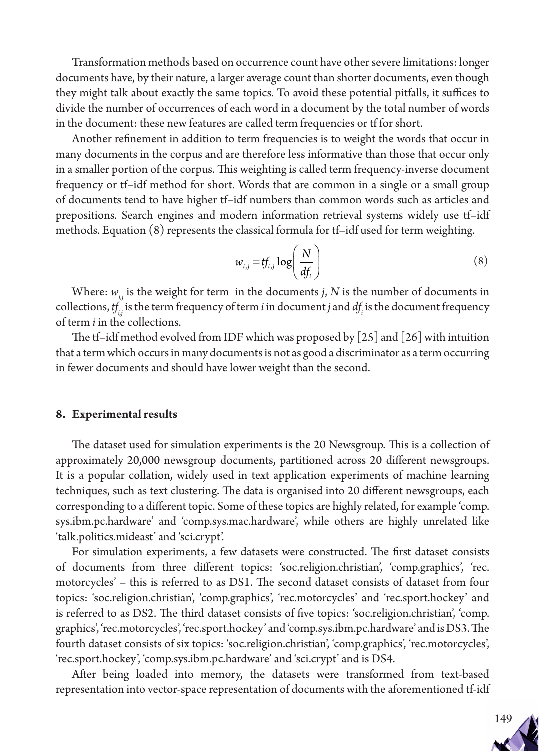Transformation methods based on occurrence count have other severe limitations: longer documents have, by their nature, a larger average count than shorter documents, even though they might talk about exactly the same topics. To avoid these potential pitfalls, it suffices to divide the number of occurrences of each word in a document by the total number of words in the document: these new features are called term frequencies or tf for short.

Another refinement in addition to term frequencies is to weight the words that occur in many documents in the corpus and are therefore less informative than those that occur only in a smaller portion of the corpus. This weighting is called term frequency-inverse document frequency or tf–idf method for short. Words that are common in a single or a small group of documents tend to have higher tf–idf numbers than common words such as articles and prepositions. Search engines and modern information retrieval systems widely use tf–idf methods. Equation (8) represents the classical formula for tf–idf used for term weighting.

$$
w_{i,j} = tf_{i,j} \log \left(\frac{N}{df_i}\right) \tag{8}
$$

Where:  $w_{i,j}$  is the weight for term in the documents *j*, *N* is the number of documents in collections,  $t_{i,j}^f$  is the term frequency of term  $i$  in document  $j$  and  $df_i$  is the document frequency of term *i* in the collections.

The tf–idf method evolved from IDF which was proposed by [25] and [26] with intuition that a term which occurs in many documents is not as good a discriminator as a term occurring in fewer documents and should have lower weight than the second.

## **8. Experimental results**

The dataset used for simulation experiments is the 20 Newsgroup. This is a collection of approximately 20,000 newsgroup documents, partitioned across 20 different newsgroups. It is a popular collation, widely used in text application experiments of machine learning techniques, such as text clustering. The data is organised into 20 different newsgroups, each corresponding to a different topic. Some of these topics are highly related, for example 'comp. sys.ibm.pc.hardware' and 'comp.sys.mac.hardware', while others are highly unrelated like 'talk.politics.mideast' and 'sci.crypt'.

For simulation experiments, a few datasets were constructed. The first dataset consists of documents from three different topics: 'soc.religion.christian', 'comp.graphics', 'rec. motorcycles' – this is referred to as DS1. The second dataset consists of dataset from four topics: 'soc.religion.christian', 'comp.graphics', 'rec.motorcycles' and 'rec.sport.hockey' and is referred to as DS2. The third dataset consists of five topics: 'soc.religion.christian', 'comp. graphics', 'rec.motorcycles', 'rec.sport.hockey' and 'comp.sys.ibm.pc.hardware' and is DS3. The fourth dataset consists of six topics: 'soc.religion.christian', 'comp.graphics', 'rec.motorcycles', 'rec.sport.hockey', 'comp.sys.ibm.pc.hardware' and 'sci.crypt' and is DS4.

After being loaded into memory, the datasets were transformed from text-based representation into vector-space representation of documents with the aforementioned tf-idf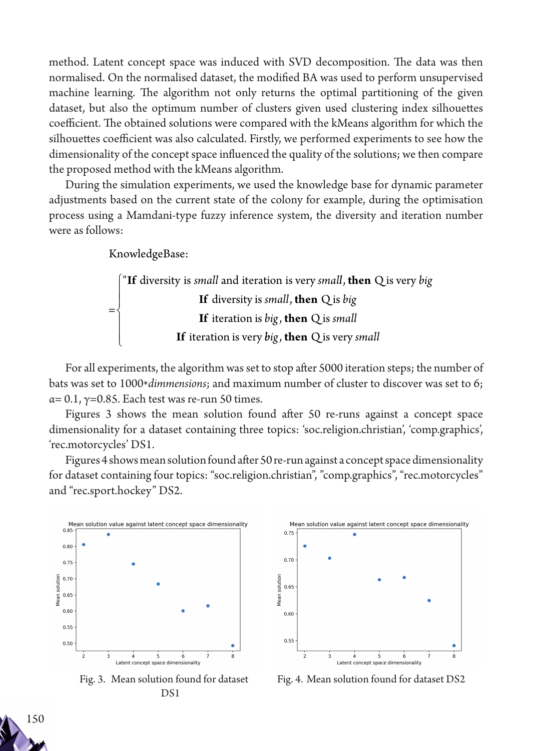method. Latent concept space was induced with SVD decomposition. The data was then normalised. On the normalised dataset, the modified BA was used to perform unsupervised machine learning. The algorithm not only returns the optimal partitioning of the given dataset, but also the optimum number of clusters given used clustering index silhouettes coefficient. The obtained solutions were compared with the kMeans algorithm for which the silhouettes coefficient was also calculated. Firstly, we performed experiments to see how the dimensionality of the concept space influenced the quality of the solutions; we then compare the proposed method with the kMeans algorithm.

During the simulation experiments, we used the knowledge base for dynamic parameter adjustments based on the current state of the colony for example, during the optimisation process using a Mamdani-type fuzzy inference system, the diversity and iteration number were as follows:

KnowledgeBase:

= "**If** diversity is *small* and iteration is very *small,* then Q is very big **If** diversity is small, **then** Q is big **If** iteration is big, **then** Q is *small* **If** iteration is very *big s* , **then** Q is very *mall*  $\left\lceil \right\rceil$ ₹  $\overline{1}$  $\mathbf{I}$  $\overline{\mathfrak{l}}$  $\left| \right|$  $\mathbf{I}$ 

For all experiments, the algorithm was set to stop after 5000 iteration steps; the number of bats was set to 1000\**dimmensions*; and maximum number of cluster to discover was set to 6;  $\alpha$ = 0.1,  $\gamma$ =0.85. Each test was re-run 50 times.

Figures 3 shows the mean solution found after 50 re-runs against a concept space dimensionality for a dataset containing three topics: 'soc.religion.christian', 'comp.graphics', 'rec.motorcycles' DS1.

Figures 4 shows mean solution found after 50 re-run against a concept space dimensionality for dataset containing four topics: "soc.religion.christian", "comp.graphics", "rec.motorcycles" and "rec.sport.hockey" DS2.



Fig. 3. Mean solution found for dataset D<sub>S1</sub>



Fig. 4. Mean solution found for dataset DS2

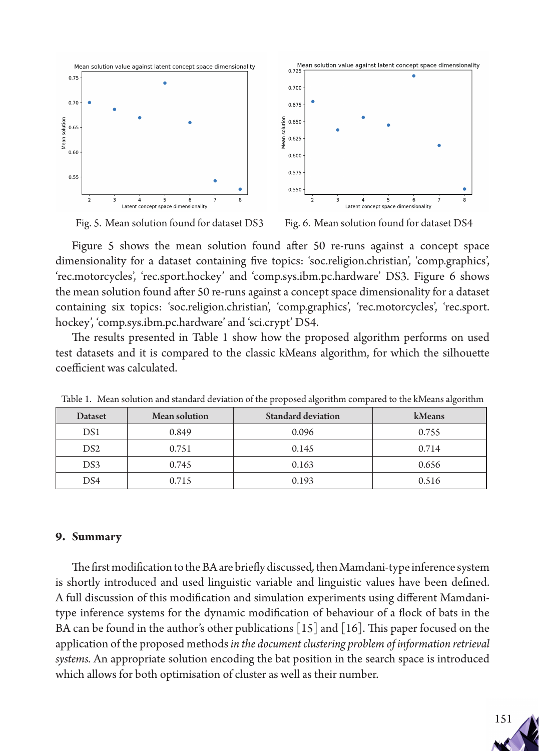

Fig. 5. Mean solution found for dataset DS3 Fig. 6. Mean solution found for dataset DS4

Figure 5 shows the mean solution found after 50 re-runs against a concept space dimensionality for a dataset containing five topics: 'soc.religion.christian', 'comp.graphics', 'rec.motorcycles', 'rec.sport.hockey' and 'comp.sys.ibm.pc.hardware' DS3. Figure 6 shows the mean solution found after 50 re-runs against a concept space dimensionality for a dataset containing six topics: 'soc.religion.christian', 'comp.graphics', 'rec.motorcycles', 'rec.sport. hockey', 'comp.sys.ibm.pc.hardware' and 'sci.crypt' DS4.

The results presented in Table 1 show how the proposed algorithm performs on used test datasets and it is compared to the classic kMeans algorithm, for which the silhouette coefficient was calculated.

|                 |                      | $\epsilon$                | $\circ$ |
|-----------------|----------------------|---------------------------|---------|
| <b>Dataset</b>  | <b>Mean solution</b> | <b>Standard deviation</b> | kMeans  |
| DS1             | 0.849                | 0.096                     | 0.755   |
| DS <sub>2</sub> | 0.751                | 0.145                     | 0.714   |
| DS3             | 0.745                | 0.163                     | 0.656   |
| DS4             | 0.715                | 0.193                     | 0.516   |

Table 1. Mean solution and standard deviation of the proposed algorithm compared to the kMeans algorithm

## **9. Summary**

The first modification to the BA are briefly discussed, then Mamdani-type inference system is shortly introduced and used linguistic variable and linguistic values have been defined. A full discussion of this modification and simulation experiments using different Mamdanitype inference systems for the dynamic modification of behaviour of a flock of bats in the BA can be found in the author's other publications [15] and [16]. This paper focused on the application of the proposed methods *in the document clustering problem of information retrieval systems.* An appropriate solution encoding the bat position in the search space is introduced which allows for both optimisation of cluster as well as their number.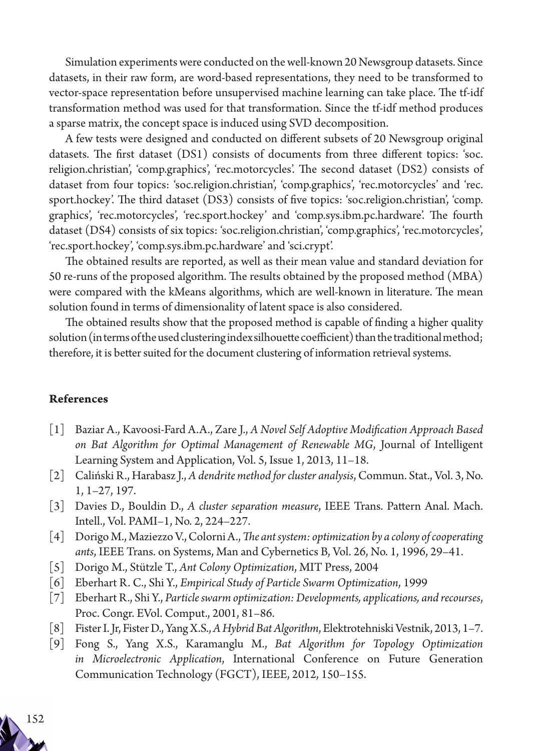Simulation experiments were conducted on the well-known 20 Newsgroup datasets. Since datasets, in their raw form, are word-based representations, they need to be transformed to vector-space representation before unsupervised machine learning can take place. The tf-idf transformation method was used for that transformation. Since the tf-idf method produces a sparse matrix, the concept space is induced using SVD decomposition.

A few tests were designed and conducted on different subsets of 20 Newsgroup original datasets. The first dataset (DS1) consists of documents from three different topics: 'soc. religion.christian', 'comp.graphics', 'rec.motorcycles'. The second dataset (DS2) consists of dataset from four topics: 'soc.religion.christian', 'comp.graphics', 'rec.motorcycles' and 'rec. sport.hockey'. The third dataset (DS3) consists of five topics: 'soc.religion.christian', 'comp. graphics', 'rec.motorcycles', 'rec.sport.hockey' and 'comp.sys.ibm.pc.hardware'. The fourth dataset (DS4) consists of six topics: 'soc.religion.christian', 'comp.graphics', 'rec.motorcycles', 'rec.sport.hockey', 'comp.sys.ibm.pc.hardware' and 'sci.crypt'.

The obtained results are reported, as well as their mean value and standard deviation for 50 re-runs of the proposed algorithm. The results obtained by the proposed method (MBA) were compared with the kMeans algorithms, which are well-known in literature. The mean solution found in terms of dimensionality of latent space is also considered.

The obtained results show that the proposed method is capable of finding a higher quality solution (in terms of the used clustering index silhouette coefficient) than the traditional method; therefore, it is better suited for the document clustering of information retrieval systems.

## **References**

- [1] Baziar A., Kavoosi-Fard A.A., Zare J., *A Novel Self Adoptive Modification Approach Based on Bat Algorithm for Optimal Management of Renewable MG*, Journal of Intelligent Learning System and Application, Vol. 5, Issue 1, 2013, 11–18.
- [2] Caliński R., Harabasz J., *A dendrite method for cluster analysis*, Commun. Stat., Vol. 3, No. 1, 1–27, 197.
- [3] Davies D., Bouldin D., *A cluster separation measure*, IEEE Trans. Pattern Anal. Mach. Intell., Vol. PAMI–1, No. 2, 224–227.
- [4] Dorigo M., Maziezzo V., Colorni A., *The ant system: optimization by a colony of cooperating ants*, IEEE Trans. on Systems, Man and Cybernetics B, Vol. 26, No. 1, 1996, 29–41.
- [5] Dorigo M., Stützle T., *Ant Colony Optimization*, MIT Press, 2004
- [6] Eberhart R. C., Shi Y., *Empirical Study of Particle Swarm Optimization*, 1999
- [7] Eberhart R., Shi Y., *Particle swarm optimization: Developments, applications, and recourses*, Proc. Congr. EVol. Comput., 2001, 81–86.
- [8] Fister I. Jr, Fister D., Yang X.S., *A Hybrid Bat Algorithm*, Elektrotehniski Vestnik, 2013, 1–7.
- [9] Fong S., Yang X.S., Karamanglu M., *Bat Algorithm for Topology Optimization in Microelectronic Application*, International Conference on Future Generation Communication Technology (FGCT), IEEE, 2012, 150–155.